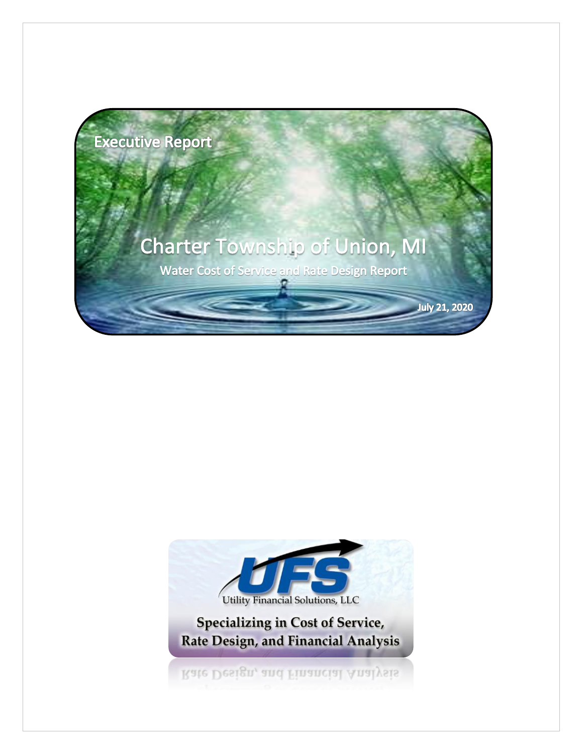

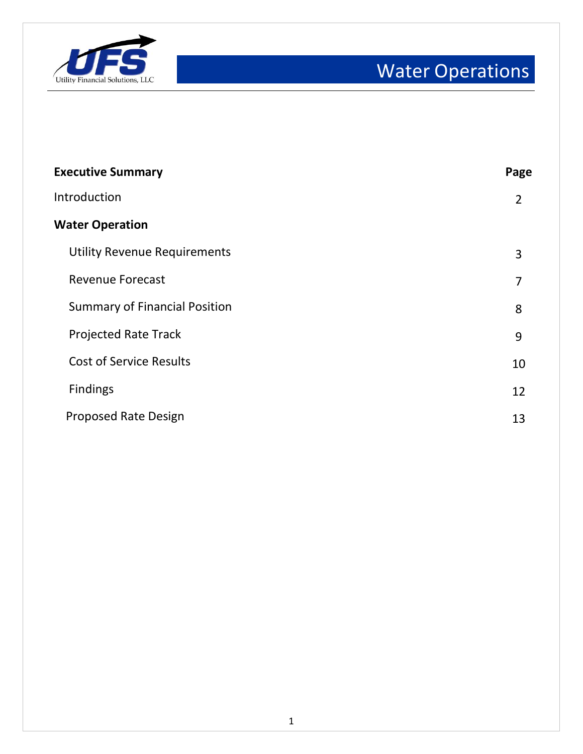

| <b>Executive Summary</b>             | Page           |
|--------------------------------------|----------------|
| Introduction                         | $\overline{2}$ |
| <b>Water Operation</b>               |                |
| <b>Utility Revenue Requirements</b>  | 3              |
| <b>Revenue Forecast</b>              | 7              |
| <b>Summary of Financial Position</b> | 8              |
| <b>Projected Rate Track</b>          | 9              |
| <b>Cost of Service Results</b>       | 10             |
| <b>Findings</b>                      | 12             |
| <b>Proposed Rate Design</b>          | 13             |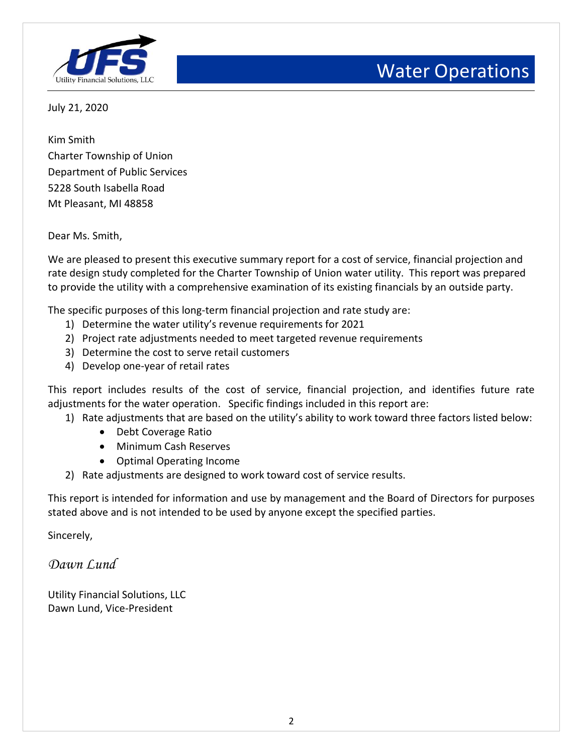

July 21, 2020

Kim Smith Charter Township of Union Department of Public Services 5228 South Isabella Road Mt Pleasant, MI 48858

Dear Ms. Smith,

We are pleased to present this executive summary report for a cost of service, financial projection and rate design study completed for the Charter Township of Union water utility. This report was prepared to provide the utility with a comprehensive examination of its existing financials by an outside party.

The specific purposes of this long-term financial projection and rate study are:

- 1) Determine the water utility's revenue requirements for 2021
- 2) Project rate adjustments needed to meet targeted revenue requirements
- 3) Determine the cost to serve retail customers
- 4) Develop one-year of retail rates

This report includes results of the cost of service, financial projection, and identifies future rate adjustments for the water operation. Specific findings included in this report are:

- 1) Rate adjustments that are based on the utility's ability to work toward three factors listed below:
	- Debt Coverage Ratio
	- Minimum Cash Reserves
	- Optimal Operating Income
- 2) Rate adjustments are designed to work toward cost of service results.

This report is intended for information and use by management and the Board of Directors for purposes stated above and is not intended to be used by anyone except the specified parties.

Sincerely,

*Dawn Lund*

Utility Financial Solutions, LLC Dawn Lund, Vice-President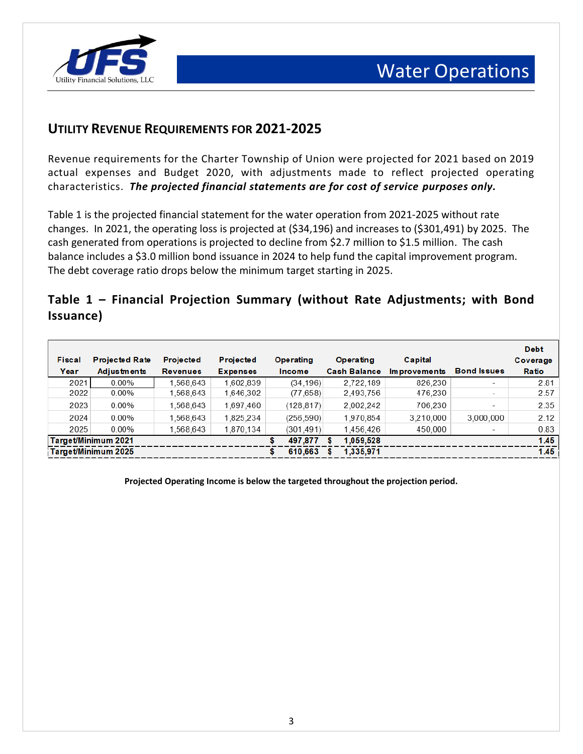

## **UTILITY REVENUE REQUIREMENTS FOR 2021-2025**

Revenue requirements for the Charter Township of Union were projected for 2021 based on 2019 actual expenses and Budget 2020, with adjustments made to reflect projected operating characteristics. *The projected financial statements are for cost of service purposes only.* 

Table 1 is the projected financial statement for the water operation from 2021-2025 without rate changes. In 2021, the operating loss is projected at (\$34,196) and increases to (\$301,491) by 2025. The cash generated from operations is projected to decline from \$2.7 million to \$1.5 million. The cash balance includes a \$3.0 million bond issuance in 2024 to help fund the capital improvement program. The debt coverage ratio drops below the minimum target starting in 2025.

#### **Table 1 – Financial Projection Summary (without Rate Adjustments; with Bond Issuance)**

|               |                       |                  |                  |            |                     |                     |                          | <b>Debt</b> |
|---------------|-----------------------|------------------|------------------|------------|---------------------|---------------------|--------------------------|-------------|
| <b>Fiscal</b> | <b>Projected Rate</b> | <b>Projected</b> | <b>Projected</b> | Operating  | Operating           | Capital             |                          | Coverage    |
| Year          | Adjustments           | <b>Revenues</b>  | <b>Expenses</b>  | Income     | <b>Cash Balance</b> | <b>Improvements</b> | <b>Bond Issues</b>       | Ratio       |
| 2021          | $0.00\%$              | 1.568.643        | 1.602.839        | (34.196)   | 2.722.189           | 826,230             | $\overline{\phantom{a}}$ | 2.81        |
| 2022          | $0.00\%$              | 1.568.643        | 1.646.302        | (77, 658)  | 2,493,756           | 476.230             | $\overline{\phantom{0}}$ | 2.57        |
| 2023          | $0.00\%$              | 1.568.643        | 1.697.460        | (128.817)  | 2.002.242           | 706.230             | $\overline{\phantom{0}}$ | 2.35        |
| 2024          | $0.00\%$              | 1.568.643        | 1.825.234        | (256, 590) | 1.970.854           | 3.210.000           | 3.000.000                | 2.12        |
| 2025          | $0.00\%$              | .568.643         | 1.870.134        | (301, 491) | 1.456.426           | 450.000             | $\overline{\phantom{a}}$ | 0.83        |
|               | Target/Minimum 2021   |                  |                  | 497.877    | 1,059,528<br>S      |                     |                          | 1.45        |
|               | Target/Minimum 2025   |                  |                  | 610.663    | 1,335,971           |                     |                          | 1.45        |

**Projected Operating Income is below the targeted throughout the projection period.**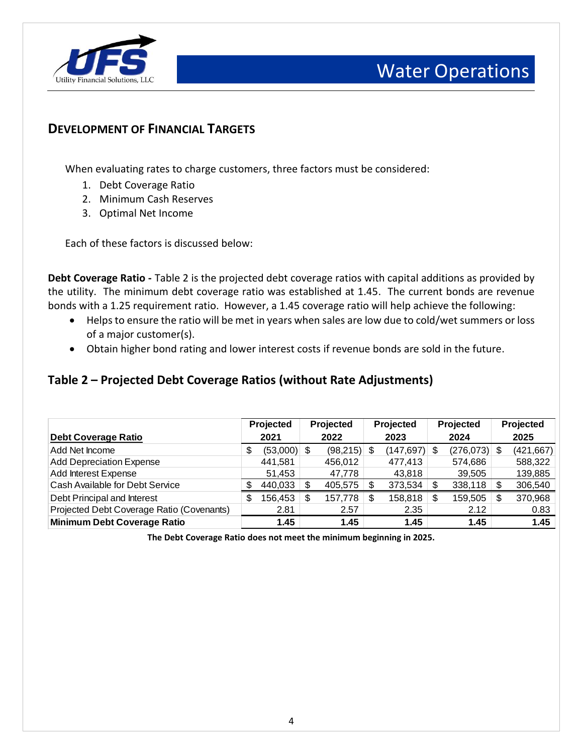

### **DEVELOPMENT OF FINANCIAL TARGETS**

When evaluating rates to charge customers, three factors must be considered:

- 1. Debt Coverage Ratio
- 2. Minimum Cash Reserves
- 3. Optimal Net Income

Each of these factors is discussed below:

**Debt Coverage Ratio -** Table 2 is the projected debt coverage ratios with capital additions as provided by the utility. The minimum debt coverage ratio was established at 1.45. The current bonds are revenue bonds with a 1.25 requirement ratio. However, a 1.45 coverage ratio will help achieve the following:

- Helps to ensure the ratio will be met in years when sales are low due to cold/wet summers or loss of a major customer(s).
- Obtain higher bond rating and lower interest costs if revenue bonds are sold in the future.

#### **Table 2 – Projected Debt Coverage Ratios (without Rate Adjustments)**

|                                           | <b>Projected</b> |               | <b>Projected</b> |               | Projected |                 | Projected |                | Projected |            |
|-------------------------------------------|------------------|---------------|------------------|---------------|-----------|-----------------|-----------|----------------|-----------|------------|
| <b>Debt Coverage Ratio</b>                |                  | 2021          |                  | 2022          |           | 2023            |           | 2024           |           | 2025       |
| Add Net Income                            | S                | $(53,000)$ \$ |                  | $(98,215)$ \$ |           | $(147, 697)$ \$ |           | $(276,073)$ \$ |           | (421, 667) |
| <b>Add Depreciation Expense</b>           |                  | 441,581       |                  | 456,012       |           | 477,413         |           | 574,686        |           | 588,322    |
| Add Interest Expense                      |                  | 51,453        |                  | 47,778        |           | 43,818          |           | 39,505         |           | 139,885    |
| Cash Available for Debt Service           |                  | 440,033       | S                | 405,575       |           | 373,534         | S         | 338,118        | S         | 306,540    |
| Debt Principal and Interest               | S                | 156,453       | \$               | 157,778       | \$.       | 158,818         |           | 159,505        | S         | 370,968    |
| Projected Debt Coverage Ratio (Covenants) |                  | 2.81          |                  | 2.57          |           | 2.35            |           | 2.12           |           | 0.83       |
| <b>Minimum Debt Coverage Ratio</b>        |                  | 1.45          |                  | 1.45          |           | 1.45            |           | 1.45           |           | 1.45       |

**The Debt Coverage Ratio does not meet the minimum beginning in 2025.**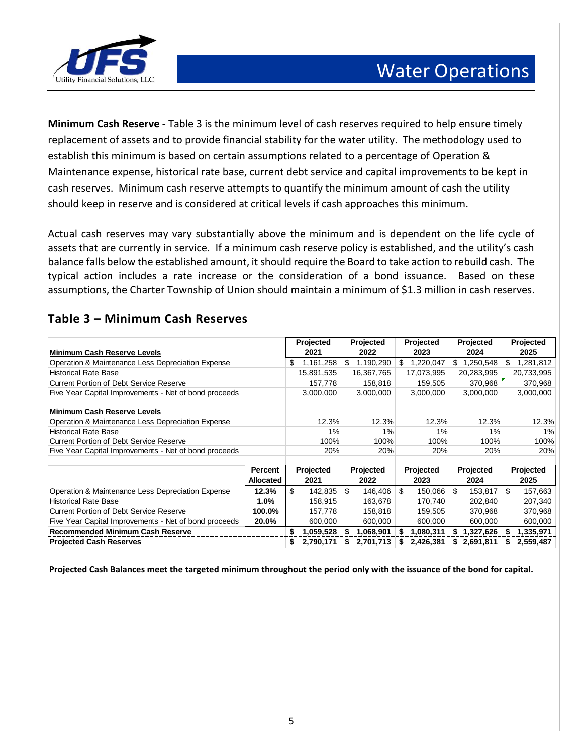



**Minimum Cash Reserve -** Table 3 is the minimum level of cash reserves required to help ensure timely replacement of assets and to provide financial stability for the water utility. The methodology used to establish this minimum is based on certain assumptions related to a percentage of Operation & Maintenance expense, historical rate base, current debt service and capital improvements to be kept in cash reserves. Minimum cash reserve attempts to quantify the minimum amount of cash the utility should keep in reserve and is considered at critical levels if cash approaches this minimum.

Actual cash reserves may vary substantially above the minimum and is dependent on the life cycle of assets that are currently in service. If a minimum cash reserve policy is established, and the utility's cash balance falls below the established amount, it should require the Board to take action to rebuild cash. The typical action includes a rate increase or the consideration of a bond issuance. Based on these assumptions, the Charter Township of Union should maintain a minimum of \$1.3 million in cash reserves.

| <b>Minimum Cash Reserve Levels</b>                    |                  | Projected<br>2021 | Projected<br>2022 | Projected<br>2023 | Projected<br>2024 | Projected<br>2025 |
|-------------------------------------------------------|------------------|-------------------|-------------------|-------------------|-------------------|-------------------|
|                                                       |                  |                   |                   |                   |                   |                   |
| Operation & Maintenance Less Depreciation Expense     |                  | \$<br>1,161,258   | \$<br>1,190,290   | 1,220,047<br>\$   | 1,250,548<br>\$.  | \$<br>1,281,812   |
| <b>Historical Rate Base</b>                           |                  | 15,891,535        | 16,367,765        | 17,073,995        | 20,283,995        | 20,733,995        |
| <b>Current Portion of Debt Service Reserve</b>        |                  | 157,778           | 158,818           | 159,505           | 370,968           | 370,968           |
| Five Year Capital Improvements - Net of bond proceeds |                  | 3,000,000         | 3,000,000         | 3,000,000         | 3,000,000         | 3,000,000         |
| <b>Minimum Cash Reserve Levels</b>                    |                  |                   |                   |                   |                   |                   |
| Operation & Maintenance Less Depreciation Expense     |                  | 12.3%             | 12.3%             | 12.3%             | 12.3%             | 12.3%             |
| <b>Historical Rate Base</b>                           |                  | 1%                | 1%                | 1%                | 1%                | 1%                |
| <b>Current Portion of Debt Service Reserve</b>        |                  | 100%              | 100%              | 100%              | 100%              | 100%              |
| Five Year Capital Improvements - Net of bond proceeds |                  | 20%               | 20%               | 20%               | 20%               | 20%               |
|                                                       |                  |                   |                   |                   |                   |                   |
|                                                       | Percent          | Projected         | Projected         | Projected         | Projected         | Projected         |
|                                                       | <b>Allocated</b> | 2021              | 2022              | 2023              | 2024              | 2025              |
| Operation & Maintenance Less Depreciation Expense     | 12.3%            | \$<br>142,835     | \$<br>146,406     | \$<br>150,066     | \$<br>153,817     | \$<br>157,663     |
| <b>Historical Rate Base</b>                           | 1.0%             | 158,915           | 163,678           | 170,740           | 202,840           | 207,340           |
| Current Portion of Debt Service Reserve               | 100.0%           | 157.778           | 158.818           | 159.505           | 370,968           | 370,968           |
| Five Year Capital Improvements - Net of bond proceeds | 20.0%            | 600,000           | 600,000           | 600,000           | 600,000           | 600,000           |
| <b>Recommended Minimum Cash Reserve</b>               |                  | 1,059,528<br>S.   | 1,068,901<br>- \$ | 1,080,311<br>55   | 1,327,626<br>S.   | 1,335,971<br>S    |
| <b>Projected Cash Reserves</b>                        |                  | 2,790,171<br>S.   | 2,701,713<br>s.   | 2,426,381<br>S.   | \$2,691,811       | 2,559,487<br>S    |

#### **Table 3 – Minimum Cash Reserves**

**Projected Cash Balances meet the targeted minimum throughout the period only with the issuance of the bond for capital.**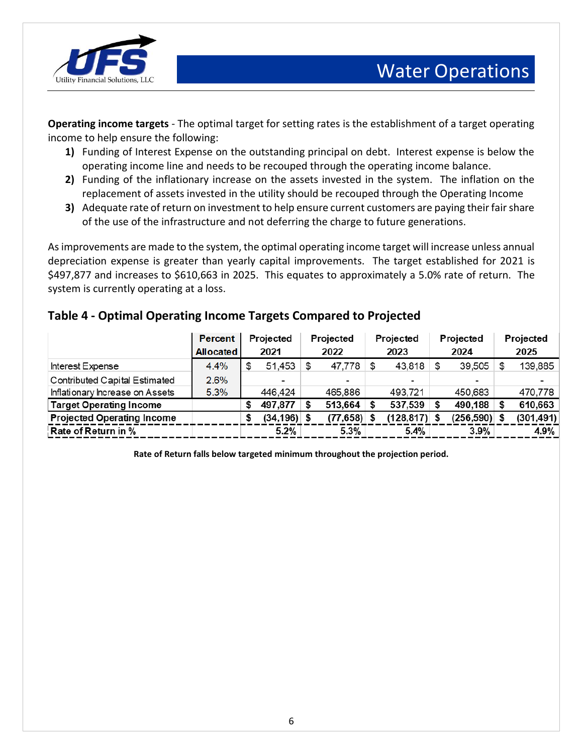

**Operating income targets** - The optimal target for setting rates is the establishment of a target operating income to help ensure the following:

- **1)** Funding of Interest Expense on the outstanding principal on debt. Interest expense is below the operating income line and needs to be recouped through the operating income balance.
- **2)** Funding of the inflationary increase on the assets invested in the system. The inflation on the replacement of assets invested in the utility should be recouped through the Operating Income
- **3)** Adequate rate of return on investment to help ensure current customers are paying their fair share of the use of the infrastructure and not deferring the charge to future generations.

As improvements are made to the system, the optimal operating income target will increase unless annual depreciation expense is greater than yearly capital improvements. The target established for 2021 is \$497,877 and increases to \$610,663 in 2025. This equates to approximately a 5.0% rate of return. The system is currently operating at a loss.

#### **Table 4 - Optimal Operating Income Targets Compared to Projected**

|                                      | <b>Percent</b>   | Projected      |  | Projected     | Projected |                 | Projected |            | Projected |            |
|--------------------------------------|------------------|----------------|--|---------------|-----------|-----------------|-----------|------------|-----------|------------|
|                                      | <b>Allocated</b> | 2021           |  | 2022          |           | 2023            |           | 2024       |           | 2025       |
| Interest Expense                     | 4.4%             | 51,453         |  | 47,778        |           | 43,818          |           | 39,505     |           | 139,885    |
| <b>Contributed Capital Estimated</b> | 2.6%             | ٠              |  |               |           | -               |           |            |           |            |
| Inflationary Increase on Assets      | 5.3%             | 446.424        |  | 465,886       |           | 493.721         |           | 450,683    |           | 470,778    |
| <b>Target Operating Income</b>       |                  | 497,877        |  | 513,664       |           | 537,539         |           | 490,188    |           | 610,663    |
| <b>Projected Operating Income</b>    |                  | $(34, 196)$ \$ |  | $(77,658)$ \$ |           | $(128, 817)$ \$ |           | (256, 590) |           | (301, 491) |
| Rate of Return in %                  |                  | 5.2%           |  | 5.3%          |           | 5.4%            |           | 3.9%       |           | 4.9%       |

**Rate of Return falls below targeted minimum throughout the projection period.**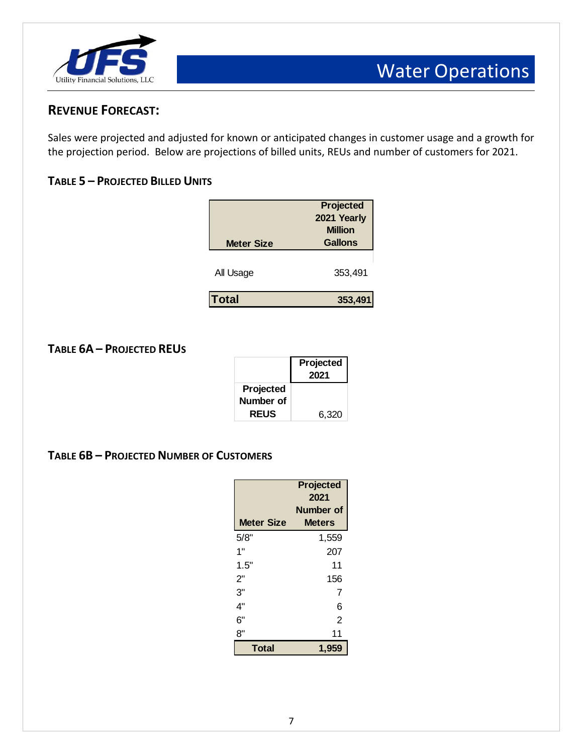

### **REVENUE FORECAST:**

Sales were projected and adjusted for known or anticipated changes in customer usage and a growth for the projection period. Below are projections of billed units, REUs and number of customers for 2021.

#### **TABLE 5 – PROJECTED BILLED UNITS**

| <b>Meter Size</b> | <b>Projected</b><br>2021 Yearly<br><b>Million</b><br><b>Gallons</b> |
|-------------------|---------------------------------------------------------------------|
| All Usage         | 353,491                                                             |
| <b>Total</b>      | 353,491                                                             |
|                   |                                                                     |

#### **TABLE 6A – PROJECTED REUS**

|             | Projected<br>2021 |
|-------------|-------------------|
| Projected   |                   |
| Number of   |                   |
| <b>REUS</b> | 6,320             |

#### **TABLE 6B – PROJECTED NUMBER OF CUSTOMERS**

| <b>Meter Size</b> | Projected<br>2021<br><b>Number of</b><br><b>Meters</b> |
|-------------------|--------------------------------------------------------|
| 5/8"              | 1,559                                                  |
| 1"                | 207                                                    |
| 1.5"              | 11                                                     |
| 2"                | 156                                                    |
| 3"                | 7                                                      |
| 4"                | 6                                                      |
| 6"                | 2                                                      |
| 8"                | 11                                                     |
| <b>Total</b>      | 1,959                                                  |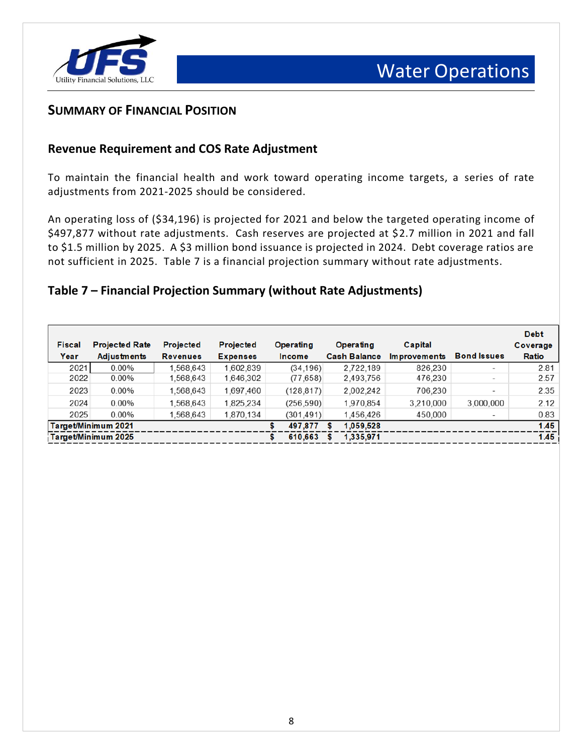

#### **SUMMARY OF FINANCIAL POSITION**

#### **Revenue Requirement and COS Rate Adjustment**

To maintain the financial health and work toward operating income targets, a series of rate adjustments from 2021-2025 should be considered.

An operating loss of (\$34,196) is projected for 2021 and below the targeted operating income of \$497,877 without rate adjustments. Cash reserves are projected at \$2.7 million in 2021 and fall to \$1.5 million by 2025. A \$3 million bond issuance is projected in 2024. Debt coverage ratios are not sufficient in 2025. Table 7 is a financial projection summary without rate adjustments.

#### **Table 7 – Financial Projection Summary (without Rate Adjustments)**

|               |                       |                  |                  |   |                  |                     |                     |                          | <b>Debt</b> |
|---------------|-----------------------|------------------|------------------|---|------------------|---------------------|---------------------|--------------------------|-------------|
| <b>Fiscal</b> | <b>Projected Rate</b> | <b>Projected</b> | <b>Projected</b> |   | <b>Operating</b> | Operating           | Capital             |                          | Coverage    |
| Year          | Adjustments           | <b>Revenues</b>  | <b>Expenses</b>  |   | <b>Income</b>    | <b>Cash Balance</b> | <b>Improvements</b> | <b>Bond Issues</b>       | Ratio       |
| 2021          | $0.00\%$              | .568.643         | 1.602.839        |   | (34, 196)        | 2.722.189           | 826,230             | $\overline{\phantom{a}}$ | 2.81        |
| 2022          | 0.00%                 | 1.568.643        | 1,646,302        |   | (77, 658)        | 2.493.756           | 476,230             | $\overline{\phantom{0}}$ | 2.57        |
| 2023          | 0.00%                 | 1,568,643        | 1,697,460        |   | (128.817)        | 2,002,242           | 706,230             | $\,$                     | 2.35        |
| 2024          | 0.00%                 | 1,568,643        | 1,825,234        |   | (256, 590)       | 1,970,854           | 3,210,000           | 3,000,000                | 2.12        |
| 2025          | $0.00\%$              | .568.643         | 1,870,134        |   | (301, 491)       | 1,456,426           | 450,000             | $\overline{\phantom{a}}$ | 0.83        |
|               | Target/Minimum 2021   |                  |                  |   | 497.877          | 1,059,528           |                     |                          | $1.45$      |
|               | Target/Minimum 2025   |                  |                  | s | 610,663          | 1,335,971           |                     |                          | 1.45        |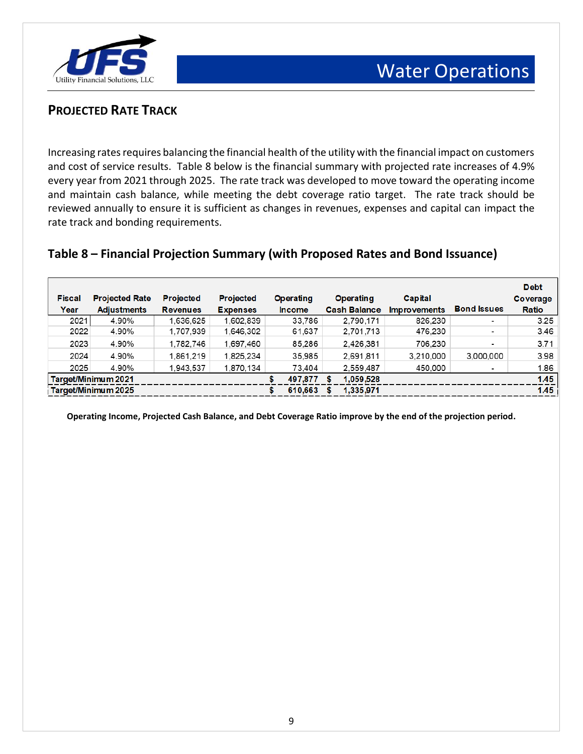

### **PROJECTED RATE TRACK**

Increasing rates requires balancing the financial health of the utility with the financial impact on customers and cost of service results. Table 8 below is the financial summary with projected rate increases of 4.9% every year from 2021 through 2025. The rate track was developed to move toward the operating income and maintain cash balance, while meeting the debt coverage ratio target. The rate track should be reviewed annually to ensure it is sufficient as changes in revenues, expenses and capital can impact the rate track and bonding requirements.

#### **Table 8 – Financial Projection Summary (with Proposed Rates and Bond Issuance)**

|               |                            |                  |                  |   |                  |   |                     |                     |                          | <b>Debt</b> |
|---------------|----------------------------|------------------|------------------|---|------------------|---|---------------------|---------------------|--------------------------|-------------|
| <b>Fiscal</b> | <b>Projected Rate</b>      | <b>Projected</b> | <b>Projected</b> |   | <b>Operating</b> |   | <b>Operating</b>    | Capital             |                          | Coverage    |
| Year          | <b>Adjustments</b>         | <b>Revenues</b>  | <b>Expenses</b>  |   | <b>Income</b>    |   | <b>Cash Balance</b> | <b>Improvements</b> | <b>Bond Issues</b>       | Ratio       |
| 2021          | 4.90%                      | 1,636,625        | 1,602,839        |   | 33,786           |   | 2.790.171           | 826,230             | $\blacksquare$           | 3.25        |
| 2022          | 4.90%                      | 1.707.939        | 1.646.302        |   | 61,637           |   | 2,701,713           | 476.230             | $\overline{\phantom{0}}$ | 3.46        |
| 2023          | 4.90%                      | 1,782,746        | 1,697,460        |   | 85,286           |   | 2.426.381           | 706,230             | -                        | 3.71        |
| 2024          | 4.90%                      | 1.861.219        | 1.825.234        |   | 35,985           |   | 2.691.811           | 3.210.000           | 3,000,000                | 3.98        |
| 2025          | 4.90%                      | 1,943,537        | 1,870,134        |   | 73,404           |   | 2,559,487           | 450,000             | ٠                        | 1.86        |
|               | <b>Target/Minimum 2021</b> |                  |                  |   | 497,877          | s | 1,059,528           |                     |                          | 1.45        |
|               | Target/Minimum 2025        |                  |                  | s | 610,663          |   | 1,335,971           |                     |                          | 1.45        |

**Operating Income, Projected Cash Balance, and Debt Coverage Ratio improve by the end of the projection period.**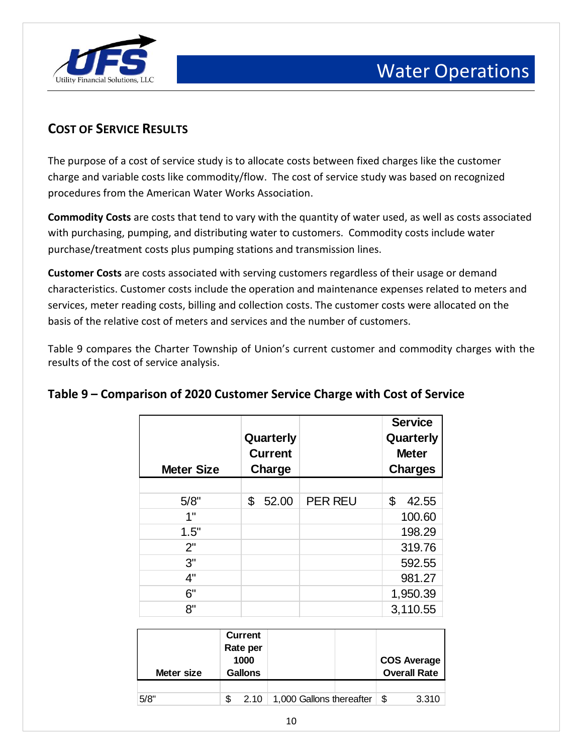

## **COST OF SERVICE RESULTS**

The purpose of a cost of service study is to allocate costs between fixed charges like the customer charge and variable costs like commodity/flow. The cost of service study was based on recognized procedures from the American Water Works Association.

**Commodity Costs** are costs that tend to vary with the quantity of water used, as well as costs associated with purchasing, pumping, and distributing water to customers. Commodity costs include water purchase/treatment costs plus pumping stations and transmission lines.

**Customer Costs** are costs associated with serving customers regardless of their usage or demand characteristics. Customer costs include the operation and maintenance expenses related to meters and services, meter reading costs, billing and collection costs. The customer costs were allocated on the basis of the relative cost of meters and services and the number of customers.

Table 9 compares the Charter Township of Union's current customer and commodity charges with the results of the cost of service analysis.

| <b>Meter Size</b> | Quarterly<br><b>Current</b><br>Charge |                | <b>Service</b><br>Quarterly<br><b>Meter</b><br><b>Charges</b> |
|-------------------|---------------------------------------|----------------|---------------------------------------------------------------|
|                   |                                       |                |                                                               |
| 5/8"              | \$<br>52.00                           | <b>PER REU</b> | \$<br>42.55                                                   |
| 1"                |                                       |                | 100.60                                                        |
| 1.5"              |                                       |                | 198.29                                                        |
| 2"                |                                       |                | 319.76                                                        |
| 3"                |                                       |                | 592.55                                                        |
| 4"                |                                       |                | 981.27                                                        |
| 6"                |                                       |                | 1,950.39                                                      |
| 8"                |                                       |                | 3,110.55                                                      |

#### **Table 9 – Comparison of 2020 Customer Service Charge with Cost of Service**

| Meter size | <b>Current</b><br>Rate per<br>1000<br><b>Gallons</b> |                                   | <b>COS Average</b><br><b>Overall Rate</b> |
|------------|------------------------------------------------------|-----------------------------------|-------------------------------------------|
|            |                                                      |                                   |                                           |
| 5/8"       |                                                      | $2.10$   1,000 Gallons thereafter | \$<br>3.310                               |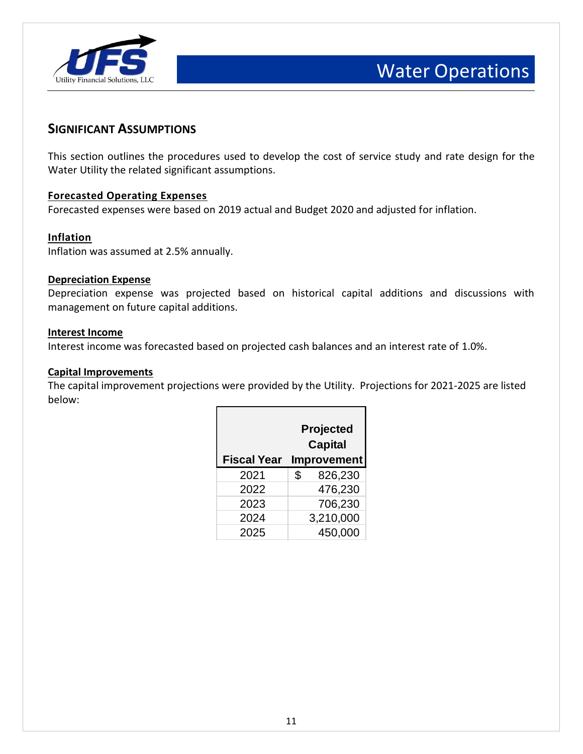

#### **SIGNIFICANT ASSUMPTIONS**

This section outlines the procedures used to develop the cost of service study and rate design for the Water Utility the related significant assumptions.

#### **Forecasted Operating Expenses**

Forecasted expenses were based on 2019 actual and Budget 2020 and adjusted for inflation.

#### **Inflation**

Inflation was assumed at 2.5% annually.

#### **Depreciation Expense**

Depreciation expense was projected based on historical capital additions and discussions with management on future capital additions.

#### **Interest Income**

Interest income was forecasted based on projected cash balances and an interest rate of 1.0%.

#### **Capital Improvements**

The capital improvement projections were provided by the Utility. Projections for 2021-2025 are listed below:

| <b>Fiscal Year</b> | Projected<br><b>Capital</b><br><b>Improvement</b> |
|--------------------|---------------------------------------------------|
| 2021               | \$<br>826,230                                     |
| 2022               | 476,230                                           |
| 2023               | 706,230                                           |
| 2024               | 3,210,000                                         |
| 2025               | 450,000                                           |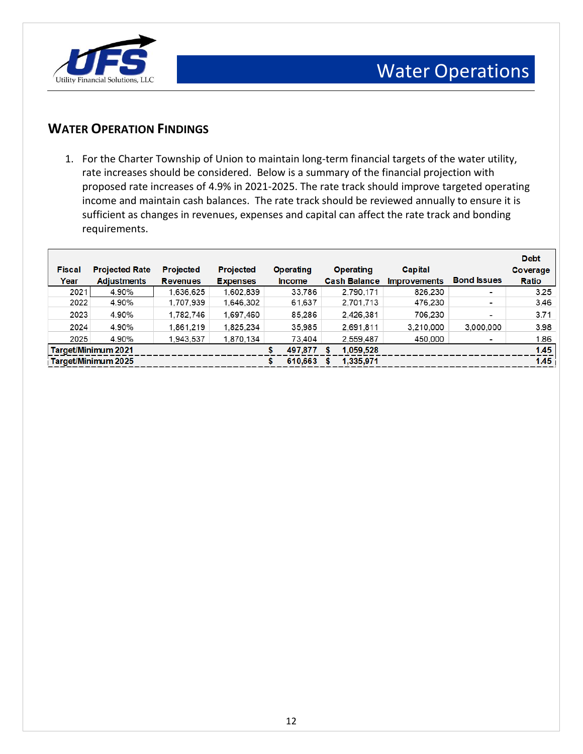

### **WATER OPERATION FINDINGS**

1. For the Charter Township of Union to maintain long-term financial targets of the water utility, rate increases should be considered. Below is a summary of the financial projection with proposed rate increases of 4.9% in 2021-2025. The rate track should improve targeted operating income and maintain cash balances. The rate track should be reviewed annually to ensure it is sufficient as changes in revenues, expenses and capital can affect the rate track and bonding requirements.

|               |                       |                  |                  |   |                  |   |                     |                     |                          | <b>Debt</b> |
|---------------|-----------------------|------------------|------------------|---|------------------|---|---------------------|---------------------|--------------------------|-------------|
| <b>Fiscal</b> | <b>Projected Rate</b> | <b>Projected</b> | <b>Projected</b> |   | <b>Operating</b> |   | <b>Operating</b>    | Capital             |                          | Coverage    |
| Year          | <b>Adjustments</b>    | <b>Revenues</b>  | <b>Expenses</b>  |   | <b>Income</b>    |   | <b>Cash Balance</b> | <b>Improvements</b> | <b>Bond Issues</b>       | Ratio       |
| 2021          | 4.90%                 | 1.636.625        | 1.602.839        |   | 33.786           |   | 2.790.171           | 826,230             | $\overline{\phantom{a}}$ | 3.25        |
| 2022          | 4.90%                 | 1,707,939        | 1,646,302        |   | 61,637           |   | 2,701,713           | 476,230             | $\blacksquare$           | 3.46        |
| 2023          | 4.90%                 | 1.782.746        | 1.697.460        |   | 85.286           |   | 2.426.381           | 706.230             | -                        | 3.71        |
| 2024          | 4.90%                 | 1,861,219        | 1,825,234        |   | 35,985           |   | 2.691.811           | 3,210,000           | 3,000,000                | 3.98        |
| 2025          | 4.90%                 | 1.943.537        | 1.870.134        |   | 73.404           |   | 2.559.487           | 450,000             | $\blacksquare$           | 1.86        |
|               | Target/Minimum 2021   |                  |                  |   | 497,877          | S | 1,059,528           |                     |                          | 1.45        |
|               | Target/Minimum 2025   |                  |                  | S | 610.663          |   | 1,335,971           |                     |                          | 1.45        |